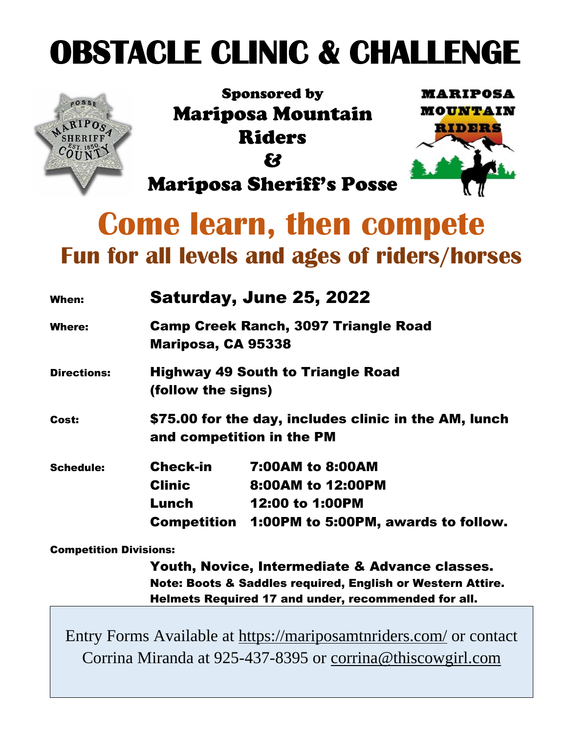# **OBSTACLE CLINIC & CHALLENGE**



Sponsored by Mariposa Mountain Riders & Mariposa Sheriff's Posse



## **Come learn, then compete Fun for all levels and ages of riders/horses**

| When:              | <b>Saturday, June 25, 2022</b>                                                     |                                                                                                        |  |
|--------------------|------------------------------------------------------------------------------------|--------------------------------------------------------------------------------------------------------|--|
| Where:             | <b>Camp Creek Ranch, 3097 Triangle Road</b><br>Mariposa, CA 95338                  |                                                                                                        |  |
| <b>Directions:</b> | <b>Highway 49 South to Triangle Road</b><br>(follow the signs)                     |                                                                                                        |  |
| Cost:              | \$75.00 for the day, includes clinic in the AM, lunch<br>and competition in the PM |                                                                                                        |  |
| <b>Schedule:</b>   | <b>Check-in</b><br><b>Clinic</b><br>Lunch<br>Competition                           | <b>7:00AM to 8:00AM</b><br>8:00AM to 12:00PM<br>12:00 to 1:00PM<br>1:00PM to 5:00PM, awards to follow. |  |

Competition Divisions:

Youth, Novice, Intermediate & Advance classes. Note: Boots & Saddles required, English or Western Attire. Helmets Required 17 and under, recommended for all.

Entry Forms Available at<https://mariposamtnriders.com/> or contact Corrina Miranda at 925-437-8395 or [corrina@thiscowgirl.com](mailto:corrina@thiscowgirl.com)